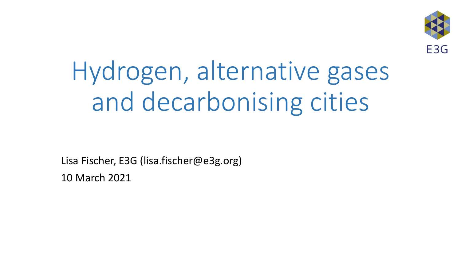

# Hydrogen, alternative gases and decarbonising cities

Lisa Fischer, E3G (lisa.fischer@e3g.org) 10 March 2021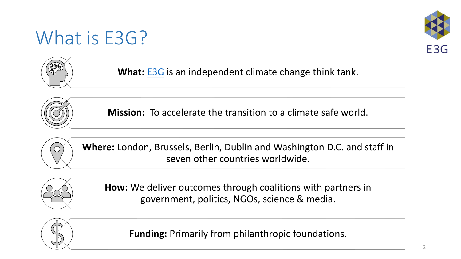#### What is E3G?





What: **[E3G](http://www.e3g.org/)** is an independent climate change think tank.



**Mission:** To accelerate the transition to a climate safe world.



**Where:** London, Brussels, Berlin, Dublin and Washington D.C. and staff in seven other countries worldwide.



**How:** We deliver outcomes through coalitions with partners in government, politics, NGOs, science & media.



**Funding:** Primarily from philanthropic foundations.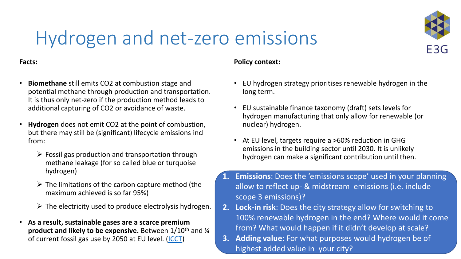

#### Hydrogen and net-zero emissions

#### **Facts:**

- **Biomethane** still emits CO2 at combustion stage and potential methane through production and transportation. It is thus only net-zero if the production method leads to additional capturing of CO2 or avoidance of waste.
- **Hydrogen** does not emit CO2 at the point of combustion, but there may still be (significant) lifecycle emissions incl from:
	- $\triangleright$  Fossil gas production and transportation through methane leakage (for so called blue or turquoise hydrogen)
	- $\triangleright$  The limitations of the carbon capture method (the maximum achieved is so far 95%)
	- $\triangleright$  The electricity used to produce electrolysis hydrogen.
- **As a result, sustainable gases are a scarce premium product and likely to be expensive.** Between  $1/10^{th}$  and  $\frac{1}{4}$ of current fossil gas use by 2050 at EU level. [\(ICCT](https://theicct.org/publications/role-renewable-methane-eu))

#### **Policy context:**

- EU hydrogen strategy prioritises renewable hydrogen in the long term.
- EU sustainable finance taxonomy (draft) sets levels for hydrogen manufacturing that only allow for renewable (or nuclear) hydrogen.
- At EU level, targets require a >60% reduction in GHG emissions in the building sector until 2030. It is unlikely hydrogen can make a significant contribution until then.
- **1. Emissions**: Does the 'emissions scope' used in your planning allow to reflect up- & midstream emissions (i.e. include scope 3 emissions)?
- **2. Lock-in risk**: Does the city strategy allow for switching to 100% renewable hydrogen in the end? Where would it come from? What would happen if it didn't develop at scale?
- **3. Adding value**: For what purposes would hydrogen be of highest added value in your city?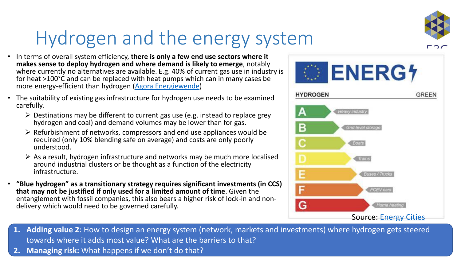

### Hydrogen and the energy system

- In terms of overall system efficiency, **there is only a few end use sectors where it makes sense to deploy hydrogen and where demand is likely to emerge**, notably where currently no alternatives are available. E.g. 40% of current gas use in industry is for heat >100°C and can be replaced with heat pumps which can in many cases be more energy-efficient than hydrogen [\(Agora Energiewende](https://www.agora-energiewende.de/en/press/news-archive/no-regret-hydrogen-infrastructure-for-europe/))
- The suitability of existing gas infrastructure for hydrogen use needs to be examined carefully.
	- $\triangleright$  Destinations may be different to current gas use (e.g. instead to replace grey hydrogen and coal) and demand volumes may be lower than for gas.
	- $\triangleright$  Refurbishment of networks, compressors and end use appliances would be required (only 10% blending safe on average) and costs are only poorly understood.
	- $\triangleright$  As a result, hydrogen infrastructure and networks may be much more localised around industrial clusters or be thought as a function of the electricity infrastructure.
- **"Blue hydrogen" as a transitionary strategy requires significant investments (in CCS) that may not be justified if only used for a limited amount of time**. Given the entanglement with fossil companies, this also bears a higher risk of lock-in and nondelivery which would need to be governed carefully.



- **1. Adding value 2**: How to design an energy system (network, markets and investments) where hydrogen gets steered towards where it adds most value? What are the barriers to that?
- **2. Managing risk:** What happens if we don't do that?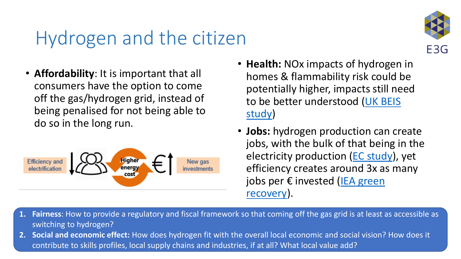### Hydrogen and the citizen

E3G

• **Affordability**: It is important that all consumers have the option to come off the gas/hydrogen grid, instead of being penalised for not being able to do so in the long run.



- **Health:** NOx impacts of hydrogen in homes & flammability risk could be potentially higher, impacts still need [to be better understood \(UK BEIS](https://assets.publishing.service.gov.uk/government/uploads/system/uploads/attachment_data/file/699685/Hydrogen_Appliances-For_Publication-14-02-2018-PDF.pdf)  study)
- **Jobs:** hydrogen production can create jobs, with the bulk of that being in the electricity production ([EC study\)](https://op.europa.eu/en/publication-detail/-/publication/7e4afa7d-d077-11ea-adf7-01aa75ed71a1/language-en), yet efficiency creates around 3x as many [jobs per € invested \(](https://www.iea.org/reports/sustainable-recovery)IEA green recovery).
- **1. Fairness**: How to provide a regulatory and fiscal framework so that coming off the gas grid is at least as accessible as switching to hydrogen?
- **2. Social and economic effect:** How does hydrogen fit with the overall local economic and social vision? How does it contribute to skills profiles, local supply chains and industries, if at all? What local value add?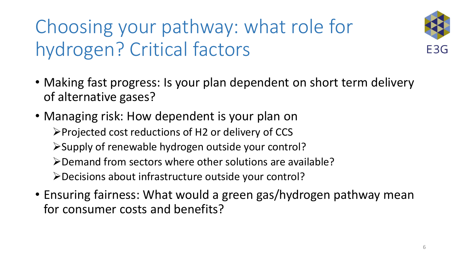## Choosing your pathway: what role for hydrogen? Critical factors



- Making fast progress: Is your plan dependent on short term delivery of alternative gases?
- Managing risk: How dependent is your plan on ➢Projected cost reductions of H2 or delivery of CCS ➢Supply of renewable hydrogen outside your control? ➢Demand from sectors where other solutions are available? ➢Decisions about infrastructure outside your control?
- Ensuring fairness: What would a green gas/hydrogen pathway mean for consumer costs and benefits?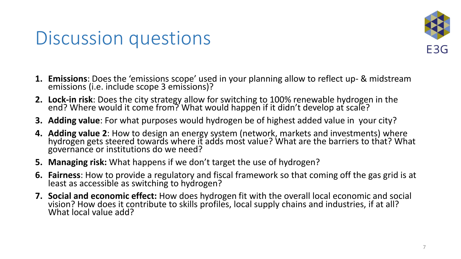#### Discussion questions



- **1. Emissions**: Does the 'emissions scope' used in your planning allow to reflect up- & midstream emissions (i.e. include scope 3 emissions)?
- **2. Lock-in risk**: Does the city strategy allow for switching to 100% renewable hydrogen in the end? Where would it come from? What would happen if it didn't develop at scale?
- **3. Adding value**: For what purposes would hydrogen be of highest added value in your city?
- **4. Adding value 2**: How to design an energy system (network, markets and investments) where hydrogen gets steered towards where it adds most value? What are the barriers to that? What governance or institutions do we need?
- **5. Managing risk:** What happens if we don't target the use of hydrogen?
- **6. Fairness**: How to provide a regulatory and fiscal framework so that coming off the gas grid is at least as accessible as switching to hydrogen?
- **7. Social and economic effect:** How does hydrogen fit with the overall local economic and social vision? How does it contribute to skills profiles, local supply chains and industries, if at all? What local value add?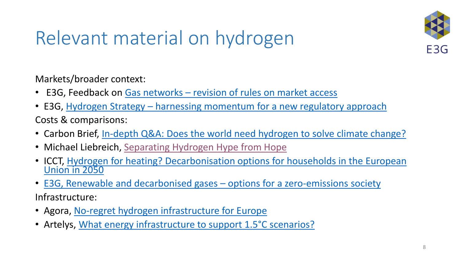

#### Relevant material on hydrogen

Markets/broader context:

- E3G, Feedback on Gas networks [revision of rules on market access](https://ec.europa.eu/info/law/better-regulation/have-your-say/initiatives/12766-Revision-of-EU-rules-on-Gas-/F1966396)
- E3G, Hydrogen Strategy [harnessing momentum for a new regulatory approach](https://www.e3g.org/wp-content/uploads/11_6_20_E3G_EU-Hydrogen-Strategy-HARNESSING-MOMENTUM-FOR-A-NEW-REGULATORY-APPROACH.pdf) Costs & comparisons:
- Carbon Brief, [In-depth Q&A: Does the world need hydrogen to solve climate change?](https://www.carbonbrief.org/in-depth-qa-does-the-world-need-hydrogen-to-solve-climate-change)
- Michael Liebreich, [Separating Hydrogen Hype from Hope](https://about.bnef.com/blog/liebreich-separating-hype-from-hydrogen-part-two-the-demand-side/)
- ICCT, Hydrogen for heating? [Decarbonisation options](https://theicct.org/publications/hydrogen-heating-eu-feb2021) for households in the European Union in 2050
- [E3G, Renewable and decarbonised gases](https://www.e3g.org/library/briefing-summary-pro-consumer-pro-climate-a-new-eu-agenda-for-natural-gas)  options for a zero-emissions society Infrastructure:
- Agora, [No-regret hydrogen infrastructure for Europe](https://theicct.org/publications/hydrogen-heating-eu-feb2021)
- Artelys, [What energy infrastructure to support 1.5°C scenarios?](https://www.artelys.com/wp-content/uploads/2020/11/Artelys-2050EnergyInfrastructureNeeds.pdf)